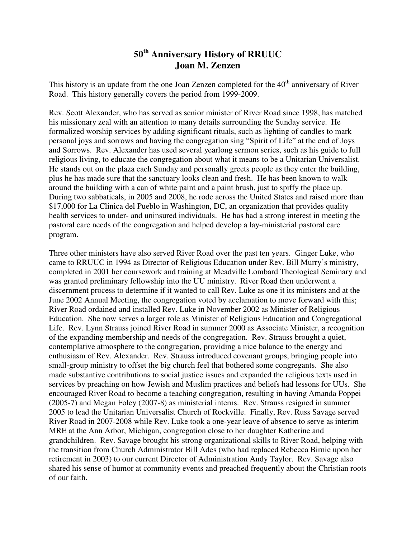## **50th Anniversary History of RRUUC Joan M. Zenzen**

This history is an update from the one Joan Zenzen completed for the 40<sup>th</sup> anniversary of River Road. This history generally covers the period from 1999-2009.

Rev. Scott Alexander, who has served as senior minister of River Road since 1998, has matched his missionary zeal with an attention to many details surrounding the Sunday service. He formalized worship services by adding significant rituals, such as lighting of candles to mark personal joys and sorrows and having the congregation sing "Spirit of Life" at the end of Joys and Sorrows. Rev. Alexander has used several yearlong sermon series, such as his guide to full religious living, to educate the congregation about what it means to be a Unitarian Universalist. He stands out on the plaza each Sunday and personally greets people as they enter the building, plus he has made sure that the sanctuary looks clean and fresh. He has been known to walk around the building with a can of white paint and a paint brush, just to spiffy the place up. During two sabbaticals, in 2005 and 2008, he rode across the United States and raised more than \$17,000 for La Clinica del Pueblo in Washington, DC, an organization that provides quality health services to under- and uninsured individuals. He has had a strong interest in meeting the pastoral care needs of the congregation and helped develop a lay-ministerial pastoral care program.

Three other ministers have also served River Road over the past ten years. Ginger Luke, who came to RRUUC in 1994 as Director of Religious Education under Rev. Bill Murry's ministry, completed in 2001 her coursework and training at Meadville Lombard Theological Seminary and was granted preliminary fellowship into the UU ministry. River Road then underwent a discernment process to determine if it wanted to call Rev. Luke as one it its ministers and at the June 2002 Annual Meeting, the congregation voted by acclamation to move forward with this; River Road ordained and installed Rev. Luke in November 2002 as Minister of Religious Education. She now serves a larger role as Minister of Religious Education and Congregational Life. Rev. Lynn Strauss joined River Road in summer 2000 as Associate Minister, a recognition of the expanding membership and needs of the congregation. Rev. Strauss brought a quiet, contemplative atmosphere to the congregation, providing a nice balance to the energy and enthusiasm of Rev. Alexander. Rev. Strauss introduced covenant groups, bringing people into small-group ministry to offset the big church feel that bothered some congregants. She also made substantive contributions to social justice issues and expanded the religious texts used in services by preaching on how Jewish and Muslim practices and beliefs had lessons for UUs. She encouraged River Road to become a teaching congregation, resulting in having Amanda Poppei (2005-7) and Megan Foley (2007-8) as ministerial interns. Rev. Strauss resigned in summer 2005 to lead the Unitarian Universalist Church of Rockville. Finally, Rev. Russ Savage served River Road in 2007-2008 while Rev. Luke took a one-year leave of absence to serve as interim MRE at the Ann Arbor, Michigan, congregation close to her daughter Katherine and grandchildren. Rev. Savage brought his strong organizational skills to River Road, helping with the transition from Church Administrator Bill Ades (who had replaced Rebecca Birnie upon her retirement in 2003) to our current Director of Administration Andy Taylor. Rev. Savage also shared his sense of humor at community events and preached frequently about the Christian roots of our faith.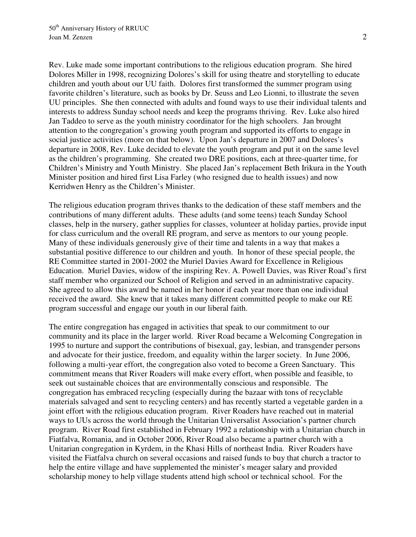Rev. Luke made some important contributions to the religious education program. She hired Dolores Miller in 1998, recognizing Dolores's skill for using theatre and storytelling to educate children and youth about our UU faith. Dolores first transformed the summer program using favorite children's literature, such as books by Dr. Seuss and Leo Lionni, to illustrate the seven UU principles. She then connected with adults and found ways to use their individual talents and interests to address Sunday school needs and keep the programs thriving. Rev. Luke also hired Jan Taddeo to serve as the youth ministry coordinator for the high schoolers. Jan brought attention to the congregation's growing youth program and supported its efforts to engage in social justice activities (more on that below). Upon Jan's departure in 2007 and Dolores's departure in 2008, Rev. Luke decided to elevate the youth program and put it on the same level as the children's programming. She created two DRE positions, each at three-quarter time, for Children's Ministry and Youth Ministry. She placed Jan's replacement Beth Irikura in the Youth Minister position and hired first Lisa Farley (who resigned due to health issues) and now Kerridwen Henry as the Children's Minister.

The religious education program thrives thanks to the dedication of these staff members and the contributions of many different adults. These adults (and some teens) teach Sunday School classes, help in the nursery, gather supplies for classes, volunteer at holiday parties, provide input for class curriculum and the overall RE program, and serve as mentors to our young people. Many of these individuals generously give of their time and talents in a way that makes a substantial positive difference to our children and youth. In honor of these special people, the RE Committee started in 2001-2002 the Muriel Davies Award for Excellence in Religious Education. Muriel Davies, widow of the inspiring Rev. A. Powell Davies, was River Road's first staff member who organized our School of Religion and served in an administrative capacity. She agreed to allow this award be named in her honor if each year more than one individual received the award. She knew that it takes many different committed people to make our RE program successful and engage our youth in our liberal faith.

The entire congregation has engaged in activities that speak to our commitment to our community and its place in the larger world. River Road became a Welcoming Congregation in 1995 to nurture and support the contributions of bisexual, gay, lesbian, and transgender persons and advocate for their justice, freedom, and equality within the larger society. In June 2006, following a multi-year effort, the congregation also voted to become a Green Sanctuary. This commitment means that River Roaders will make every effort, when possible and feasible, to seek out sustainable choices that are environmentally conscious and responsible. The congregation has embraced recycling (especially during the bazaar with tons of recyclable materials salvaged and sent to recycling centers) and has recently started a vegetable garden in a joint effort with the religious education program. River Roaders have reached out in material ways to UUs across the world through the Unitarian Universalist Association's partner church program. River Road first established in February 1992 a relationship with a Unitarian church in Fiatfalva, Romania, and in October 2006, River Road also became a partner church with a Unitarian congregation in Kyrdem, in the Khasi Hills of northeast India. River Roaders have visited the Fiatfalva church on several occasions and raised funds to buy that church a tractor to help the entire village and have supplemented the minister's meager salary and provided scholarship money to help village students attend high school or technical school. For the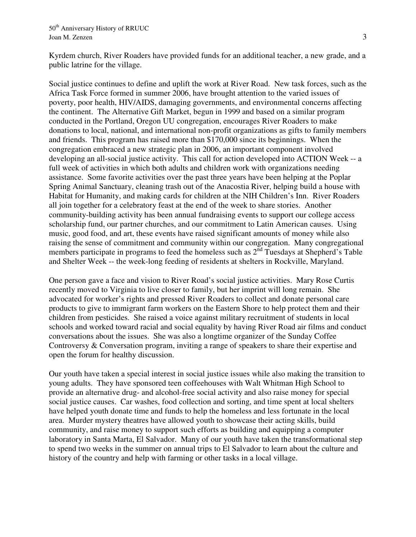Kyrdem church, River Roaders have provided funds for an additional teacher, a new grade, and a public latrine for the village.

Social justice continues to define and uplift the work at River Road. New task forces, such as the Africa Task Force formed in summer 2006, have brought attention to the varied issues of poverty, poor health, HIV/AIDS, damaging governments, and environmental concerns affecting the continent. The Alternative Gift Market, begun in 1999 and based on a similar program conducted in the Portland, Oregon UU congregation, encourages River Roaders to make donations to local, national, and international non-profit organizations as gifts to family members and friends. This program has raised more than \$170,000 since its beginnings. When the congregation embraced a new strategic plan in 2006, an important component involved developing an all-social justice activity. This call for action developed into ACTION Week -- a full week of activities in which both adults and children work with organizations needing assistance. Some favorite activities over the past three years have been helping at the Poplar Spring Animal Sanctuary, cleaning trash out of the Anacostia River, helping build a house with Habitat for Humanity, and making cards for children at the NIH Children's Inn. River Roaders all join together for a celebratory feast at the end of the week to share stories. Another community-building activity has been annual fundraising events to support our college access scholarship fund, our partner churches, and our commitment to Latin American causes. Using music, good food, and art, these events have raised significant amounts of money while also raising the sense of commitment and community within our congregation. Many congregational members participate in programs to feed the homeless such as  $2<sup>nd</sup>$  Tuesdays at Shepherd's Table and Shelter Week -- the week-long feeding of residents at shelters in Rockville, Maryland.

One person gave a face and vision to River Road's social justice activities. Mary Rose Curtis recently moved to Virginia to live closer to family, but her imprint will long remain. She advocated for worker's rights and pressed River Roaders to collect and donate personal care products to give to immigrant farm workers on the Eastern Shore to help protect them and their children from pesticides. She raised a voice against military recruitment of students in local schools and worked toward racial and social equality by having River Road air films and conduct conversations about the issues. She was also a longtime organizer of the Sunday Coffee Controversy & Conversation program, inviting a range of speakers to share their expertise and open the forum for healthy discussion.

Our youth have taken a special interest in social justice issues while also making the transition to young adults. They have sponsored teen coffeehouses with Walt Whitman High School to provide an alternative drug- and alcohol-free social activity and also raise money for special social justice causes. Car washes, food collection and sorting, and time spent at local shelters have helped youth donate time and funds to help the homeless and less fortunate in the local area. Murder mystery theatres have allowed youth to showcase their acting skills, build community, and raise money to support such efforts as building and equipping a computer laboratory in Santa Marta, El Salvador. Many of our youth have taken the transformational step to spend two weeks in the summer on annual trips to El Salvador to learn about the culture and history of the country and help with farming or other tasks in a local village.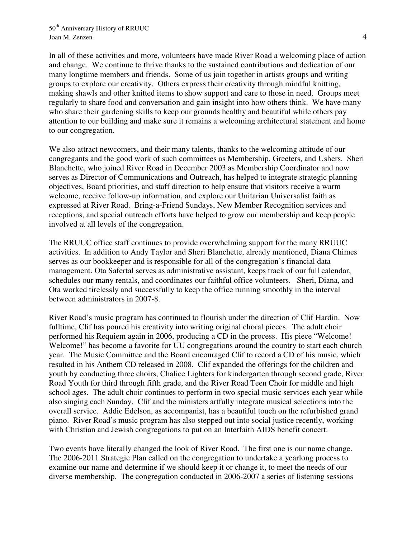In all of these activities and more, volunteers have made River Road a welcoming place of action and change. We continue to thrive thanks to the sustained contributions and dedication of our many longtime members and friends. Some of us join together in artists groups and writing groups to explore our creativity. Others express their creativity through mindful knitting, making shawls and other knitted items to show support and care to those in need. Groups meet regularly to share food and conversation and gain insight into how others think. We have many who share their gardening skills to keep our grounds healthy and beautiful while others pay attention to our building and make sure it remains a welcoming architectural statement and home to our congregation.

We also attract newcomers, and their many talents, thanks to the welcoming attitude of our congregants and the good work of such committees as Membership, Greeters, and Ushers. Sheri Blanchette, who joined River Road in December 2003 as Membership Coordinator and now serves as Director of Communications and Outreach, has helped to integrate strategic planning objectives, Board priorities, and staff direction to help ensure that visitors receive a warm welcome, receive follow-up information, and explore our Unitarian Universalist faith as expressed at River Road. Bring-a-Friend Sundays, New Member Recognition services and receptions, and special outreach efforts have helped to grow our membership and keep people involved at all levels of the congregation.

The RRUUC office staff continues to provide overwhelming support for the many RRUUC activities. In addition to Andy Taylor and Sheri Blanchette, already mentioned, Diana Chimes serves as our bookkeeper and is responsible for all of the congregation's financial data management. Ota Safertal serves as administrative assistant, keeps track of our full calendar, schedules our many rentals, and coordinates our faithful office volunteers. Sheri, Diana, and Ota worked tirelessly and successfully to keep the office running smoothly in the interval between administrators in 2007-8.

River Road's music program has continued to flourish under the direction of Clif Hardin. Now fulltime, Clif has poured his creativity into writing original choral pieces. The adult choir performed his Requiem again in 2006, producing a CD in the process. His piece "Welcome! Welcome!" has become a favorite for UU congregations around the country to start each church year. The Music Committee and the Board encouraged Clif to record a CD of his music, which resulted in his Anthem CD released in 2008. Clif expanded the offerings for the children and youth by conducting three choirs, Chalice Lighters for kindergarten through second grade, River Road Youth for third through fifth grade, and the River Road Teen Choir for middle and high school ages. The adult choir continues to perform in two special music services each year while also singing each Sunday. Clif and the ministers artfully integrate musical selections into the overall service. Addie Edelson, as accompanist, has a beautiful touch on the refurbished grand piano. River Road's music program has also stepped out into social justice recently, working with Christian and Jewish congregations to put on an Interfaith AIDS benefit concert.

Two events have literally changed the look of River Road. The first one is our name change. The 2006-2011 Strategic Plan called on the congregation to undertake a yearlong process to examine our name and determine if we should keep it or change it, to meet the needs of our diverse membership. The congregation conducted in 2006-2007 a series of listening sessions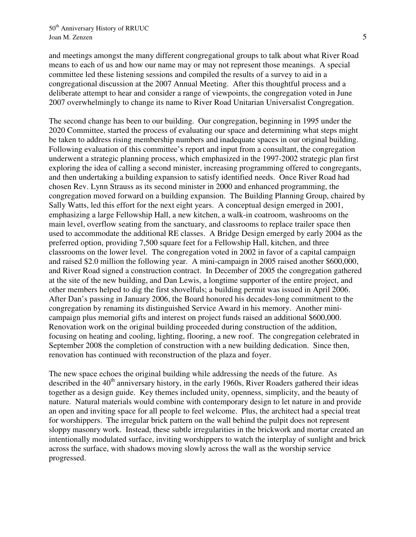and meetings amongst the many different congregational groups to talk about what River Road means to each of us and how our name may or may not represent those meanings. A special committee led these listening sessions and compiled the results of a survey to aid in a congregational discussion at the 2007 Annual Meeting. After this thoughtful process and a deliberate attempt to hear and consider a range of viewpoints, the congregation voted in June 2007 overwhelmingly to change its name to River Road Unitarian Universalist Congregation.

The second change has been to our building. Our congregation, beginning in 1995 under the 2020 Committee, started the process of evaluating our space and determining what steps might be taken to address rising membership numbers and inadequate spaces in our original building. Following evaluation of this committee's report and input from a consultant, the congregation underwent a strategic planning process, which emphasized in the 1997-2002 strategic plan first exploring the idea of calling a second minister, increasing programming offered to congregants, and then undertaking a building expansion to satisfy identified needs. Once River Road had chosen Rev. Lynn Strauss as its second minister in 2000 and enhanced programming, the congregation moved forward on a building expansion. The Building Planning Group, chaired by Sally Watts, led this effort for the next eight years. A conceptual design emerged in 2001, emphasizing a large Fellowship Hall, a new kitchen, a walk-in coatroom, washrooms on the main level, overflow seating from the sanctuary, and classrooms to replace trailer space then used to accommodate the additional RE classes. A Bridge Design emerged by early 2004 as the preferred option, providing 7,500 square feet for a Fellowship Hall, kitchen, and three classrooms on the lower level. The congregation voted in 2002 in favor of a capital campaign and raised \$2.0 million the following year. A mini-campaign in 2005 raised another \$600,000, and River Road signed a construction contract. In December of 2005 the congregation gathered at the site of the new building, and Dan Lewis, a longtime supporter of the entire project, and other members helped to dig the first shovelfuls; a building permit was issued in April 2006. After Dan's passing in January 2006, the Board honored his decades-long commitment to the congregation by renaming its distinguished Service Award in his memory. Another minicampaign plus memorial gifts and interest on project funds raised an additional \$600,000. Renovation work on the original building proceeded during construction of the addition, focusing on heating and cooling, lighting, flooring, a new roof. The congregation celebrated in September 2008 the completion of construction with a new building dedication. Since then, renovation has continued with reconstruction of the plaza and foyer.

The new space echoes the original building while addressing the needs of the future. As described in the 40<sup>th</sup> anniversary history, in the early 1960s, River Roaders gathered their ideas together as a design guide. Key themes included unity, openness, simplicity, and the beauty of nature. Natural materials would combine with contemporary design to let nature in and provide an open and inviting space for all people to feel welcome. Plus, the architect had a special treat for worshippers. The irregular brick pattern on the wall behind the pulpit does not represent sloppy masonry work. Instead, these subtle irregularities in the brickwork and mortar created an intentionally modulated surface, inviting worshippers to watch the interplay of sunlight and brick across the surface, with shadows moving slowly across the wall as the worship service progressed.